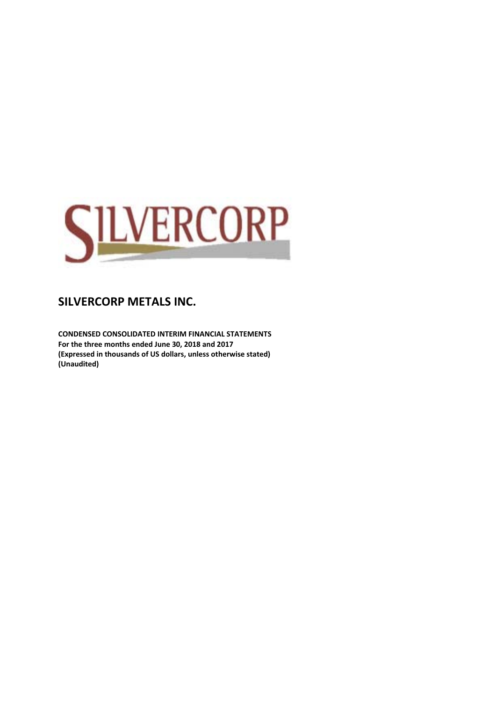

**CONDENSED CONSOLIDATED INTERIM FINANCIAL STATEMENTS For the three months ended June 30, 2018 and 2017 (Expressed in thousands of US dollars, unless otherwise stated) (Unaudited)**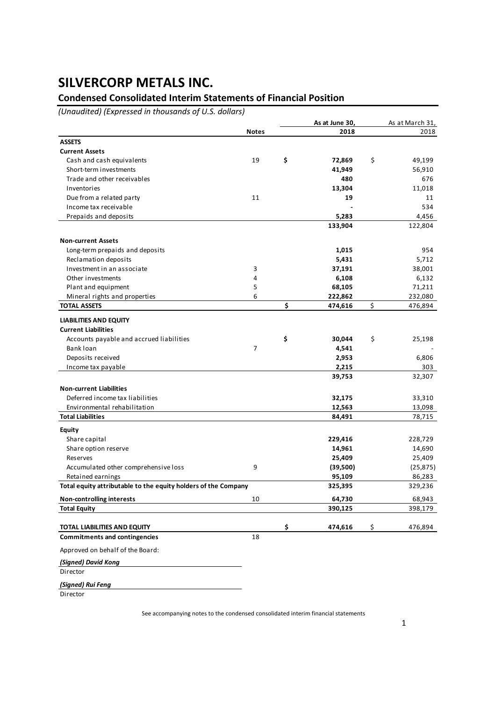## **Condensed Consolidated Interim Statements of Financial Position**

*(Unaudited) (Expressed in thousands of U.S. dollars)*

|                                                                |              | As at June 30, | As at March 31, |
|----------------------------------------------------------------|--------------|----------------|-----------------|
|                                                                | <b>Notes</b> | 2018           | 2018            |
| <b>ASSETS</b>                                                  |              |                |                 |
| <b>Current Assets</b>                                          |              |                |                 |
| Cash and cash equivalents                                      | 19           | \$<br>72,869   | \$<br>49,199    |
| Short-term investments                                         |              | 41,949         | 56,910          |
| Trade and other receivables                                    |              | 480            | 676             |
| Inventories                                                    |              | 13,304         | 11,018          |
| Due from a related party                                       | 11           | 19             | 11              |
| Income tax receivable                                          |              |                | 534             |
| Prepaids and deposits                                          |              | 5,283          | 4,456           |
|                                                                |              | 133,904        | 122,804         |
| <b>Non-current Assets</b>                                      |              |                |                 |
| Long-term prepaids and deposits                                |              | 1,015          | 954             |
| Reclamation deposits                                           |              | 5,431          | 5,712           |
| Investment in an associate                                     | 3            | 37,191         | 38,001          |
| Other investments                                              | 4            | 6,108          | 6,132           |
| Plant and equipment                                            | 5            | 68,105         | 71,211          |
| Mineral rights and properties                                  | 6            | 222,862        | 232,080         |
| <b>TOTAL ASSETS</b>                                            |              | \$<br>474,616  | \$<br>476,894   |
| <b>LIABILITIES AND EQUITY</b>                                  |              |                |                 |
| <b>Current Liabilities</b>                                     |              |                |                 |
| Accounts payable and accrued liabilities                       |              | \$<br>30,044   | \$<br>25,198    |
| Bank loan                                                      | 7            | 4,541          |                 |
| Deposits received                                              |              | 2,953          | 6,806           |
| Income tax payable                                             |              | 2,215          | 303             |
|                                                                |              | 39,753         | 32,307          |
| <b>Non-current Liabilities</b>                                 |              |                |                 |
| Deferred income tax liabilities                                |              | 32,175         | 33,310          |
| Environmental rehabilitation                                   |              | 12,563         | 13,098          |
| <b>Total Liabilities</b>                                       |              | 84,491         | 78,715          |
| <b>Equity</b>                                                  |              |                |                 |
| Share capital                                                  |              | 229,416        | 228,729         |
| Share option reserve                                           |              | 14,961         | 14,690          |
| Reserves                                                       |              | 25,409         | 25,409          |
| Accumulated other comprehensive loss                           | 9            | (39,500)       | (25, 875)       |
| Retained earnings                                              |              | 95,109         | 86,283          |
| Total equity attributable to the equity holders of the Company |              | 325,395        | 329,236         |
| <b>Non-controlling interests</b>                               | 10           | 64,730         | 68,943          |
| <b>Total Equity</b>                                            |              | 390,125        | 398,179         |
|                                                                |              |                |                 |
| TOTAL LIABILITIES AND EQUITY                                   |              | \$<br>474,616  | \$<br>476,894   |
| <b>Commitments and contingencies</b>                           | 18           |                |                 |
| Approved on behalf of the Board:                               |              |                |                 |
| (Signed) David Kong                                            |              |                |                 |
| Director                                                       |              |                |                 |
| (Signed) Rui Feng                                              |              |                |                 |
| Director                                                       |              |                |                 |

See accompanying notes to the condensed consolidated interim financial statements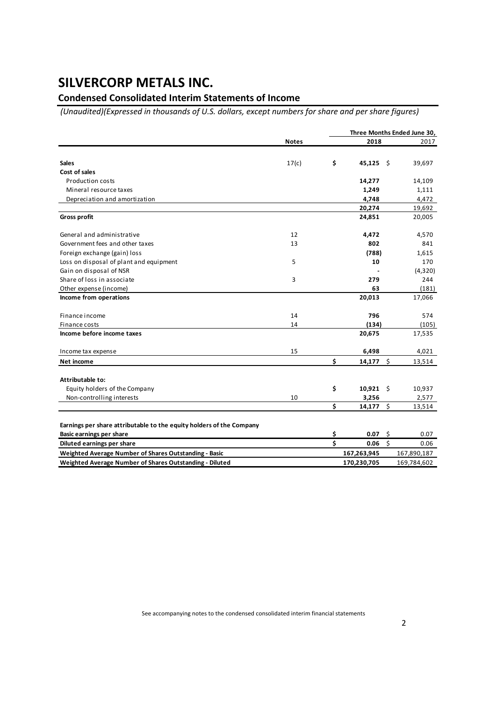## **Condensed Consolidated Interim Statements of Income**

*(Unaudited)(Expressed in thousands of U.S. dollars, except numbers for share and per share figures)*

|                                                                      |              |    |             |      | Three Months Ended June 30, |  |  |
|----------------------------------------------------------------------|--------------|----|-------------|------|-----------------------------|--|--|
|                                                                      | <b>Notes</b> |    | 2018        |      | 2017                        |  |  |
|                                                                      |              |    |             |      |                             |  |  |
| <b>Sales</b>                                                         | 17(c)        | \$ | 45,125      | - \$ | 39,697                      |  |  |
| Cost of sales                                                        |              |    |             |      |                             |  |  |
| <b>Production costs</b>                                              |              |    | 14,277      |      | 14,109                      |  |  |
| Mineral resource taxes                                               |              |    | 1,249       |      | 1,111                       |  |  |
| Depreciation and amortization                                        |              |    | 4,748       |      | 4,472                       |  |  |
|                                                                      |              |    | 20,274      |      | 19,692                      |  |  |
| <b>Gross profit</b>                                                  |              |    | 24,851      |      | 20,005                      |  |  |
| General and administrative                                           | 12           |    | 4,472       |      | 4,570                       |  |  |
| Government fees and other taxes                                      | 13           |    | 802         |      | 841                         |  |  |
| Foreign exchange (gain) loss                                         |              |    | (788)       |      | 1,615                       |  |  |
| Loss on disposal of plant and equipment                              | 5            |    | 10          |      | 170                         |  |  |
| Gain on disposal of NSR                                              |              |    |             |      | (4,320)                     |  |  |
| Share of loss in associate                                           | 3            |    | 279         |      | 244                         |  |  |
| Other expense (income)                                               |              |    | 63          |      | (181)                       |  |  |
| Income from operations                                               |              |    | 20,013      |      | 17,066                      |  |  |
| Finance income                                                       | 14           |    | 796         |      | 574                         |  |  |
| Finance costs                                                        | 14           |    | (134)       |      | (105)                       |  |  |
| Income before income taxes                                           |              |    | 20,675      |      | 17,535                      |  |  |
| Income tax expense                                                   | 15           |    | 6,498       |      | 4,021                       |  |  |
| Net income                                                           |              | \$ | 14,177      | - \$ | 13,514                      |  |  |
| Attributable to:                                                     |              |    |             |      |                             |  |  |
| Equity holders of the Company                                        |              | \$ | $10,921$ \$ |      | 10,937                      |  |  |
| Non-controlling interests                                            | 10           |    | 3,256       |      | 2,577                       |  |  |
|                                                                      |              | Ś  | 14,177      | \$   | 13,514                      |  |  |
| Earnings per share attributable to the equity holders of the Company |              |    |             |      |                             |  |  |
| <b>Basic earnings per share</b>                                      |              | \$ | 0.07        | \$   | 0.07                        |  |  |
| Diluted earnings per share                                           |              | Ś  | 0.06        | Ś    | 0.06                        |  |  |
| Weighted Average Number of Shares Outstanding - Basic                |              |    | 167,263,945 |      | 167,890,187                 |  |  |
| Weighted Average Number of Shares Outstanding - Diluted              |              |    | 170,230,705 |      | 169,784,602                 |  |  |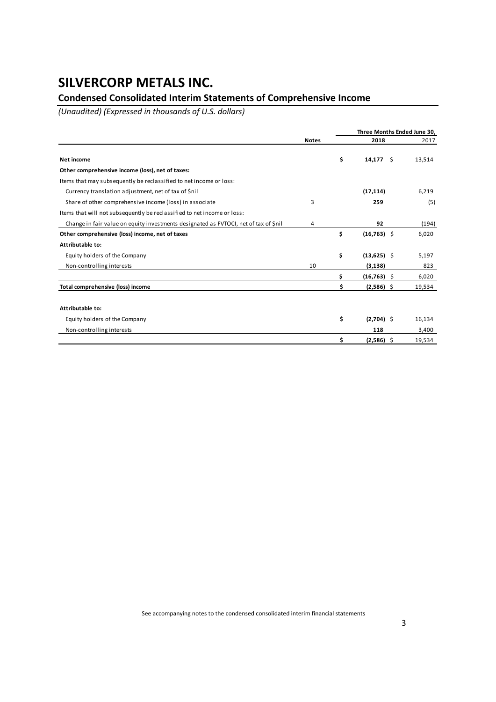## **Condensed Consolidated Interim Statements of Comprehensive Income**

*(Unaudited) (Expressed in thousands of U.S. dollars)*

|                                                                                      |              |    | Three Months Ended June 30, |  |        |  |  |
|--------------------------------------------------------------------------------------|--------------|----|-----------------------------|--|--------|--|--|
|                                                                                      | <b>Notes</b> |    | 2018                        |  |        |  |  |
| Net income                                                                           |              | \$ | $14,177$ \$                 |  | 13,514 |  |  |
| Other comprehensive income (loss), net of taxes:                                     |              |    |                             |  |        |  |  |
| Items that may subsequently be reclassified to net income or loss:                   |              |    |                             |  |        |  |  |
| Currency translation adjustment, net of tax of \$nil                                 |              |    | (17, 114)                   |  | 6,219  |  |  |
| Share of other comprehensive income (loss) in associate                              | 3            |    | 259                         |  | (5)    |  |  |
| Items that will not subsequently be reclassified to net income or loss:              |              |    |                             |  |        |  |  |
| Change in fair value on equity investments designated as FVTOCI, net of tax of \$nil | 4            |    | 92                          |  | (194)  |  |  |
| Other comprehensive (loss) income, net of taxes                                      |              | \$ | $(16, 763)$ \$              |  | 6,020  |  |  |
| Attributable to:                                                                     |              |    |                             |  |        |  |  |
| Equity holders of the Company                                                        |              | \$ | $(13,625)$ \$               |  | 5,197  |  |  |
| Non-controlling interests                                                            | 10           |    | (3, 138)                    |  | 823    |  |  |
|                                                                                      |              | \$ | $(16,763)$ \$               |  | 6,020  |  |  |
| Total comprehensive (loss) income                                                    |              | \$ | $(2,586)$ \$                |  | 19,534 |  |  |
| Attributable to:                                                                     |              |    |                             |  |        |  |  |
| Equity holders of the Company                                                        |              | \$ | $(2,704)$ \$                |  | 16,134 |  |  |
| Non-controlling interests                                                            |              |    | 118                         |  | 3,400  |  |  |
|                                                                                      |              | Ś. | $(2,586)$ \$                |  | 19,534 |  |  |

See accompanying notes to the condensed consolidated interim financial statements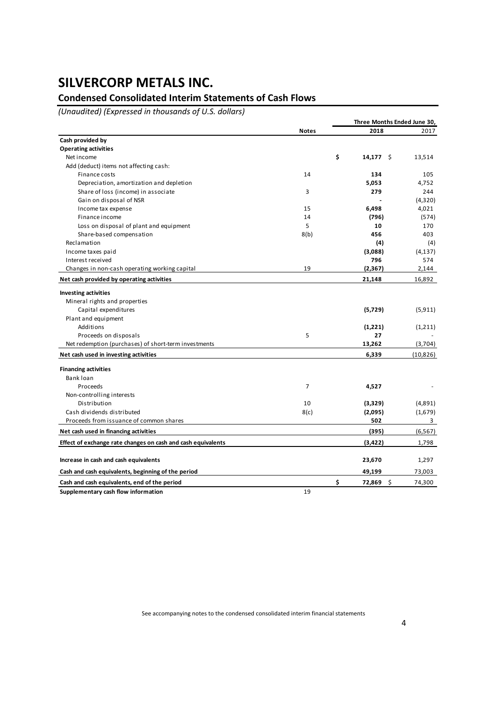## **Condensed Consolidated Interim Statements of Cash Flows**

*(Unaudited) (Expressed in thousands of U.S. dollars)*

|                                                              |                | Three Months Ended June 30, |           |
|--------------------------------------------------------------|----------------|-----------------------------|-----------|
|                                                              | <b>Notes</b>   | 2018                        | 2017      |
| Cash provided by                                             |                |                             |           |
| <b>Operating activities</b>                                  |                |                             |           |
| Net income                                                   |                | \$<br>$14,177$ \$           | 13,514    |
| Add (deduct) items not affecting cash:                       |                |                             |           |
| Finance costs                                                | 14             | 134                         | 105       |
| Depreciation, amortization and depletion                     |                | 5,053                       | 4,752     |
| Share of loss (income) in associate                          | 3              | 279                         | 244       |
| Gain on disposal of NSR                                      |                |                             | (4,320)   |
| Income tax expense                                           | 15             | 6,498                       | 4,021     |
| Finance income                                               | 14             | (796)                       | (574)     |
| Loss on disposal of plant and equipment                      | 5              | 10                          | 170       |
| Share-based compensation                                     | 8(b)           | 456                         | 403       |
| Reclamation                                                  |                | (4)                         | (4)       |
| Income taxes paid                                            |                | (3,088)                     | (4, 137)  |
| Interest received                                            |                | 796                         | 574       |
| Changes in non-cash operating working capital                | 19             | (2, 367)                    | 2,144     |
| Net cash provided by operating activities                    |                | 21,148                      | 16,892    |
| <b>Investing activities</b>                                  |                |                             |           |
| Mineral rights and properties                                |                |                             |           |
| Capital expenditures                                         |                | (5, 729)                    | (5, 911)  |
| Plant and equipment                                          |                |                             |           |
| Additions                                                    |                | (1,221)                     | (1,211)   |
| Proceeds on disposals                                        | 5              | 27                          |           |
| Net redemption (purchases) of short-term investments         |                | 13,262                      | (3,704)   |
| Net cash used in investing activities                        |                | 6,339                       | (10, 826) |
| <b>Financing activities</b>                                  |                |                             |           |
| Bank loan                                                    |                |                             |           |
| Proceeds                                                     | $\overline{7}$ | 4,527                       |           |
| Non-controlling interests                                    |                |                             |           |
| Distribution                                                 | 10             | (3,329)                     | (4,891)   |
| Cash dividends distributed                                   | 8(c)           | (2,095)                     | (1,679)   |
| Proceeds from issuance of common shares                      |                | 502                         | 3         |
| Net cash used in financing activities                        |                | (395)                       | (6, 567)  |
| Effect of exchange rate changes on cash and cash equivalents |                | (3, 422)                    | 1,798     |
|                                                              |                |                             |           |
| Increase in cash and cash equivalents                        |                | 23,670                      | 1,297     |
| Cash and cash equivalents, beginning of the period           |                | 49,199                      | 73,003    |
| Cash and cash equivalents, end of the period                 |                | \$<br>\$<br>72,869          | 74,300    |
| Supplementary cash flow information                          | 19             |                             |           |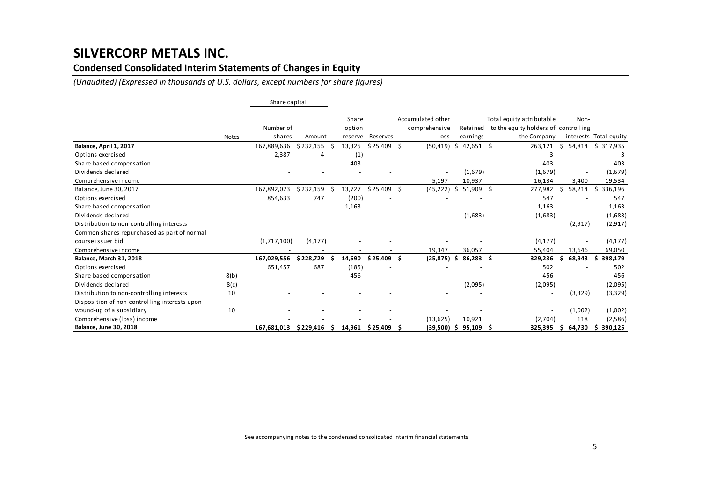### **Condensed Consolidated Interim Statements of Changes in Equity**

*(Unaudited) (Expressed in thousands of U.S. dollars, except numbers for share figures)*

|                                               |              | Share capital |                          |    |                 |                 |    |                                    |     |             |   |                                                                   |    |                          |                        |
|-----------------------------------------------|--------------|---------------|--------------------------|----|-----------------|-----------------|----|------------------------------------|-----|-------------|---|-------------------------------------------------------------------|----|--------------------------|------------------------|
|                                               |              | Number of     |                          |    | Share<br>option |                 |    | Accumulated other<br>comprehensive |     | Retained    |   | Total equity attributable<br>to the equity holders of controlling |    | Non-                     |                        |
|                                               | <b>Notes</b> | shares        | Amount                   |    | reserve         | <b>Reserves</b> |    | loss                               |     | earnings    |   | the Company                                                       |    |                          | interests Total equity |
| Balance, April 1, 2017                        |              | 167,889,636   | \$232,155                |    | 13,325          | \$25,409        | Ŝ. | (50, 419)                          | \$  | $42,651$ \$ |   | 263,121                                                           | Ŝ. | 54,814                   | \$ 317,935             |
| Options exercised                             |              | 2,387         | 4                        |    | (1)             |                 |    |                                    |     |             |   | 3                                                                 |    |                          |                        |
| Share-based compensation                      |              |               |                          |    | 403             |                 |    |                                    |     |             |   | 403                                                               |    |                          | 403                    |
| Dividends declared                            |              |               |                          |    |                 |                 |    | $\overline{\phantom{a}}$           |     | (1,679)     |   | (1,679)                                                           |    | $\overline{\phantom{a}}$ | (1,679)                |
| Comprehensive income                          |              |               |                          |    |                 |                 |    | 5,197                              |     | 10,937      |   | 16,134                                                            |    | 3,400                    | 19,534                 |
| Balance, June 30, 2017                        |              | 167,892,023   | \$232,159                |    | 13,727          | $$25,409$ \$    |    | (45, 222)                          | \$. | $51,909$ \$ |   | 277,982                                                           | Ŝ  | 58,214                   | 336,196<br>\$          |
| Options exercised                             |              | 854,633       | 747                      |    | (200)           |                 |    |                                    |     |             |   | 547                                                               |    |                          | 547                    |
| Share-based compensation                      |              |               | $\overline{\phantom{a}}$ |    | 1,163           |                 |    |                                    |     |             |   | 1,163                                                             |    |                          | 1,163                  |
| Dividends declared                            |              |               |                          |    |                 |                 |    | $\overline{\phantom{a}}$           |     | (1,683)     |   | (1,683)                                                           |    | $\overline{\phantom{a}}$ | (1,683)                |
| Distribution to non-controlling interests     |              |               |                          |    |                 |                 |    |                                    |     |             |   | $\overline{\phantom{a}}$                                          |    | (2, 917)                 | (2, 917)               |
| Common shares repurchased as part of normal   |              |               |                          |    |                 |                 |    |                                    |     |             |   |                                                                   |    |                          |                        |
| course issuer bid                             |              | (1,717,100)   | (4, 177)                 |    |                 |                 |    |                                    |     |             |   | (4, 177)                                                          |    |                          | (4, 177)               |
| Comprehensive income                          |              |               |                          |    |                 |                 |    | 19,347                             |     | 36,057      |   | 55,404                                                            |    | 13,646                   | 69,050                 |
| Balance, March 31, 2018                       |              | 167,029,556   | \$228,729                |    | 14,690          | \$25,409        | Ŝ  | (25, 875)                          | Ŝ   | 86,283      | Ŝ | 329,236                                                           |    | 68,943                   | 398,179<br>S           |
| Options exercised                             |              | 651,457       | 687                      |    | (185)           |                 |    |                                    |     |             |   | 502                                                               |    |                          | 502                    |
| Share-based compensation                      | 8(b)         |               |                          |    | 456             |                 |    |                                    |     |             |   | 456                                                               |    |                          | 456                    |
| Dividends declared                            | 8(c)         |               |                          |    | $\sim$          |                 |    | $\overline{\phantom{a}}$           |     | (2,095)     |   | (2,095)                                                           |    |                          | (2,095)                |
| Distribution to non-controlling interests     | 10           |               |                          |    |                 |                 |    |                                    |     |             |   | $\overline{\phantom{a}}$                                          |    | (3,329)                  | (3,329)                |
| Disposition of non-controlling interests upon |              |               |                          |    |                 |                 |    |                                    |     |             |   |                                                                   |    |                          |                        |
| wound-up of a subsidiary                      | 10           |               |                          |    |                 |                 |    |                                    |     |             |   | $\overline{\phantom{a}}$                                          |    | (1,002)                  | (1,002)                |
| Comprehensive (loss) income                   |              |               |                          |    |                 |                 |    | (13, 625)                          |     | 10,921      |   | (2,704)                                                           |    | 118                      | (2,586)                |
| Balance, June 30, 2018                        |              | 167,681,013   | \$229,416                | .S |                 | 14,961 \$25,409 |    | $(39,500)$ \$                      |     | 95,109      | S | 325,395                                                           | S  | 64,730                   | 390,125<br>\$.         |

See accompanying notes to the condensed consolidated interim financial statements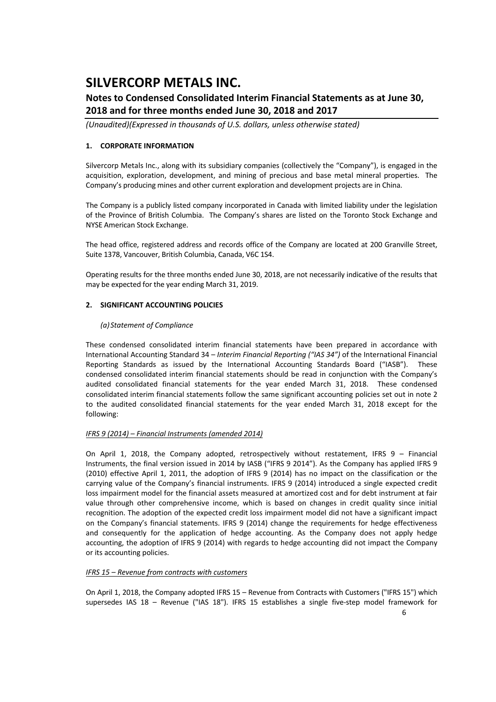### **Notes to Condensed Consolidated Interim Financial Statements as at June 30, 2018 and for three months ended June 30, 2018 and 2017**

*(Unaudited)(Expressed in thousands of U.S. dollars, unless otherwise stated)*

#### **1. CORPORATE INFORMATION**

Silvercorp Metals Inc., along with its subsidiary companies (collectively the "Company"), is engaged in the acquisition, exploration, development, and mining of precious and base metal mineral properties. The Company's producing mines and other current exploration and development projects are in China.

The Company is a publicly listed company incorporated in Canada with limited liability under the legislation of the Province of British Columbia. The Company's shares are listed on the Toronto Stock Exchange and NYSE American Stock Exchange.

The head office, registered address and records office of the Company are located at 200 Granville Street, Suite 1378, Vancouver, British Columbia, Canada, V6C 1S4.

Operating results for the three months ended June 30, 2018, are not necessarily indicative of the results that may be expected for the year ending March 31, 2019.

#### **2. SIGNIFICANT ACCOUNTING POLICIES**

#### *(a) Statement of Compliance*

These condensed consolidated interim financial statements have been prepared in accordance with International Accounting Standard 34 – *Interim Financial Reporting ("IAS 34")* of the International Financial Reporting Standards as issued by the International Accounting Standards Board ("IASB"). These condensed consolidated interim financial statements should be read in conjunction with the Company's audited consolidated financial statements for the year ended March 31, 2018. These condensed consolidated interim financial statements follow the same significant accounting policies set out in note 2 to the audited consolidated financial statements for the year ended March 31, 2018 except for the following:

#### *IFRS 9 (2014) – Financial Instruments (amended 2014)*

On April 1, 2018, the Company adopted, retrospectively without restatement, IFRS  $9 -$  Financial Instruments, the final version issued in 2014 by IASB ("IFRS 9 2014"). As the Company has applied IFRS 9 (2010) effective April 1, 2011, the adoption of IFRS 9 (2014) has no impact on the classification or the carrying value of the Company's financial instruments. IFRS 9 (2014) introduced a single expected credit loss impairment model for the financial assets measured at amortized cost and for debt instrument at fair value through other comprehensive income, which is based on changes in credit quality since initial recognition. The adoption of the expected credit loss impairment model did not have a significant impact on the Company's financial statements. IFRS 9 (2014) change the requirements for hedge effectiveness and consequently for the application of hedge accounting. As the Company does not apply hedge accounting, the adoption of IFRS 9 (2014) with regards to hedge accounting did not impact the Company or its accounting policies.

#### *IFRS 15 – Revenue from contracts with customers*

On April 1, 2018, the Company adopted IFRS 15 – Revenue from Contracts with Customers ("IFRS 15") which supersedes IAS 18 – Revenue ("IAS 18"). IFRS 15 establishes a single five-step model framework for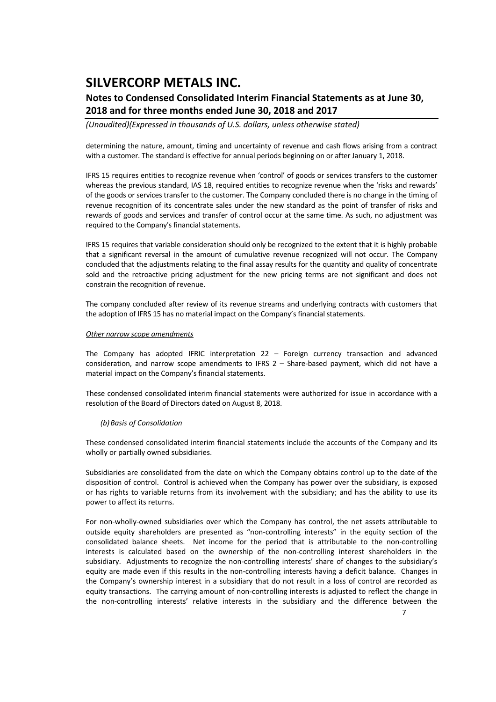### **Notes to Condensed Consolidated Interim Financial Statements as at June 30, 2018 and for three months ended June 30, 2018 and 2017**

*(Unaudited)(Expressed in thousands of U.S. dollars, unless otherwise stated)*

determining the nature, amount, timing and uncertainty of revenue and cash flows arising from a contract with a customer. The standard is effective for annual periods beginning on or after January 1, 2018.

IFRS 15 requires entities to recognize revenue when 'control' of goods or services transfers to the customer whereas the previous standard, IAS 18, required entities to recognize revenue when the 'risks and rewards' of the goods or services transfer to the customer. The Company concluded there is no change in the timing of revenue recognition of its concentrate sales under the new standard as the point of transfer of risks and rewards of goods and services and transfer of control occur at the same time. As such, no adjustment was required to the Company's financial statements.

IFRS 15 requires that variable consideration should only be recognized to the extent that it is highly probable that a significant reversal in the amount of cumulative revenue recognized will not occur. The Company concluded that the adjustments relating to the final assay results for the quantity and quality of concentrate sold and the retroactive pricing adjustment for the new pricing terms are not significant and does not constrain the recognition of revenue.

The company concluded after review of its revenue streams and underlying contracts with customers that the adoption of IFRS 15 has no material impact on the Company's financial statements.

#### *Other narrow scope amendments*

The Company has adopted IFRIC interpretation 22 – Foreign currency transaction and advanced consideration, and narrow scope amendments to IFRS 2 - Share-based payment, which did not have a material impact on the Company's financial statements.

These condensed consolidated interim financial statements were authorized for issue in accordance with a resolution of the Board of Directors dated on August 8, 2018.

#### *(b)Basis of Consolidation*

These condensed consolidated interim financial statements include the accounts of the Company and its wholly or partially owned subsidiaries.

Subsidiaries are consolidated from the date on which the Company obtains control up to the date of the disposition of control. Control is achieved when the Company has power over the subsidiary, is exposed or has rights to variable returns from its involvement with the subsidiary; and has the ability to use its power to affect its returns.

For non‐wholly‐owned subsidiaries over which the Company has control, the net assets attributable to outside equity shareholders are presented as "non‐controlling interests" in the equity section of the consolidated balance sheets. Net income for the period that is attributable to the non-controlling interests is calculated based on the ownership of the non-controlling interest shareholders in the subsidiary. Adjustments to recognize the non-controlling interests' share of changes to the subsidiary's equity are made even if this results in the non-controlling interests having a deficit balance. Changes in the Company's ownership interest in a subsidiary that do not result in a loss of control are recorded as equity transactions. The carrying amount of non‐controlling interests is adjusted to reflect the change in the non‐controlling interests' relative interests in the subsidiary and the difference between the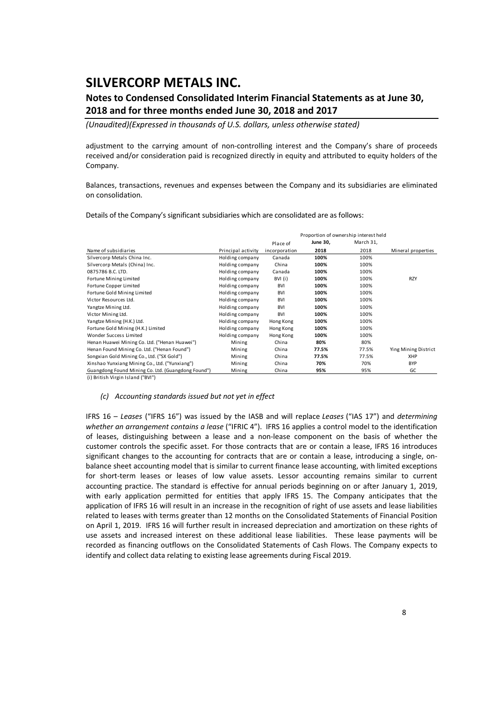### **Notes to Condensed Consolidated Interim Financial Statements as at June 30, 2018 and for three months ended June 30, 2018 and 2017**

*(Unaudited)(Expressed in thousands of U.S. dollars, unless otherwise stated)*

adjustment to the carrying amount of non-controlling interest and the Company's share of proceeds received and/or consideration paid is recognized directly in equity and attributed to equity holders of the Company.

Balances, transactions, revenues and expenses between the Company and its subsidiaries are eliminated on consolidation.

Details of the Company's significant subsidiaries which are consolidated are as follows:

|                                                    |                    | Proportion of ownership interest held |          |           |                      |  |  |  |
|----------------------------------------------------|--------------------|---------------------------------------|----------|-----------|----------------------|--|--|--|
|                                                    |                    | Place of                              | June 30, | March 31, |                      |  |  |  |
| Name of subsidiaries                               | Principal activity | incorporation                         | 2018     | 2018      | Mineral properties   |  |  |  |
| Silvercorp Metals China Inc.                       | Holding company    | Canada                                | 100%     | 100%      |                      |  |  |  |
| Silvercorp Metals (China) Inc.                     | Holding company    | China                                 | 100%     | 100%      |                      |  |  |  |
| 0875786 B.C. LTD.                                  | Holding company    | Canada                                | 100%     | 100%      |                      |  |  |  |
| Fortune Mining Limited                             | Holding company    | BVI (i)                               | 100%     | 100%      | <b>RZY</b>           |  |  |  |
| Fortune Copper Limited                             | Holding company    | <b>BVI</b>                            | 100%     | 100%      |                      |  |  |  |
| Fortune Gold Mining Limited                        | Holding company    | <b>BVI</b>                            | 100%     | 100%      |                      |  |  |  |
| Victor Resources Ltd.                              | Holding company    | <b>BVI</b>                            | 100%     | 100%      |                      |  |  |  |
| Yangtze Mining Ltd.                                | Holding company    | <b>BVI</b>                            | 100%     | 100%      |                      |  |  |  |
| Victor Mining Ltd.                                 | Holding company    | <b>BVI</b>                            | 100%     | 100%      |                      |  |  |  |
| Yangtze Mining (H.K.) Ltd.                         | Holding company    | Hong Kong                             | 100%     | 100%      |                      |  |  |  |
| Fortune Gold Mining (H.K.) Limited                 | Holding company    | Hong Kong                             | 100%     | 100%      |                      |  |  |  |
| Wonder Success Limited                             | Holding company    | Hong Kong                             | 100%     | 100%      |                      |  |  |  |
| Henan Huawei Mining Co. Ltd. ("Henan Huawei")      | Mining             | China                                 | 80%      | 80%       |                      |  |  |  |
| Henan Found Mining Co. Ltd. ("Henan Found")        | Mining             | China                                 | 77.5%    | 77.5%     | Ying Mining District |  |  |  |
| Songxian Gold Mining Co., Ltd. ("SX Gold")         | Mining             | China                                 | 77.5%    | 77.5%     | XHP                  |  |  |  |
| Xinshao Yunxiang Mining Co., Ltd. ("Yunxiang")     | Mining             | China                                 | 70%      | 70%       | <b>BYP</b>           |  |  |  |
| Guangdong Found Mining Co. Ltd. (Guangdong Found") | Mining             | China                                 | 95%      | 95%       | GC                   |  |  |  |

(i) British Virgin Island ("BVI")

#### *(c) Accounting standards issued but not yet in effect*

IFRS 16 – *Leases* ("IFRS 16") was issued by the IASB and will replace *Leases* ("IAS 17") and *determining whether an arrangement contains a lease* ("IFRIC 4"). IFRS 16 applies a control model to the identification of leases, distinguishing between a lease and a non‐lease component on the basis of whether the customer controls the specific asset. For those contracts that are or contain a lease, IFRS 16 introduces significant changes to the accounting for contracts that are or contain a lease, introducing a single, onbalance sheet accounting model that is similar to current finance lease accounting, with limited exceptions for short-term leases or leases of low value assets. Lessor accounting remains similar to current accounting practice. The standard is effective for annual periods beginning on or after January 1, 2019, with early application permitted for entities that apply IFRS 15. The Company anticipates that the application of IFRS 16 will result in an increase in the recognition of right of use assets and lease liabilities related to leases with terms greater than 12 months on the Consolidated Statements of Financial Position on April 1, 2019. IFRS 16 will further result in increased depreciation and amortization on these rights of use assets and increased interest on these additional lease liabilities. These lease payments will be recorded as financing outflows on the Consolidated Statements of Cash Flows. The Company expects to identify and collect data relating to existing lease agreements during Fiscal 2019.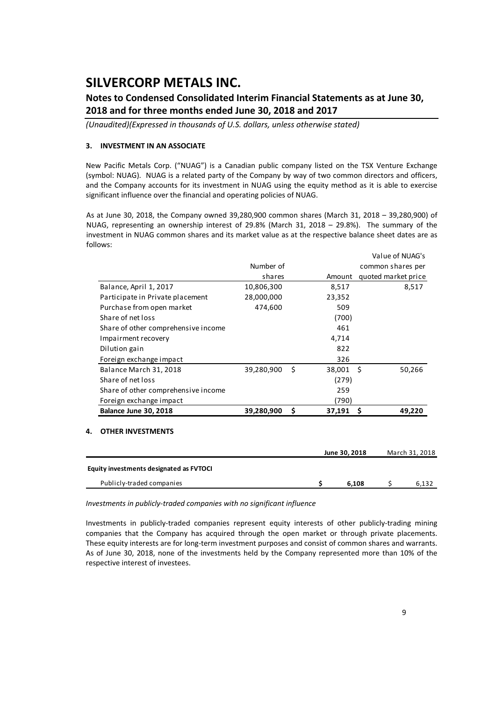### **Notes to Condensed Consolidated Interim Financial Statements as at June 30, 2018 and for three months ended June 30, 2018 and 2017**

*(Unaudited)(Expressed in thousands of U.S. dollars, unless otherwise stated)*

#### **3. INVESTMENT IN AN ASSOCIATE**

New Pacific Metals Corp. ("NUAG") is a Canadian public company listed on the TSX Venture Exchange (symbol: NUAG). NUAG is a related party of the Company by way of two common directors and officers, and the Company accounts for its investment in NUAG using the equity method as it is able to exercise significant influence over the financial and operating policies of NUAG.

As at June 30, 2018, the Company owned 39,280,900 common shares (March 31, 2018 – 39,280,900) of NUAG, representing an ownership interest of 29.8% (March 31, 2018 – 29.8%). The summary of the investment in NUAG common shares and its market value as at the respective balance sheet dates are as follows:

|                                     |            |      |        | VAIUTUI INUAU 3     |
|-------------------------------------|------------|------|--------|---------------------|
|                                     | Number of  |      |        | common shares per   |
|                                     | shares     |      | Amount | quoted market price |
| Balance, April 1, 2017              | 10,806,300 |      | 8,517  | 8,517               |
| Participate in Private placement    | 28,000,000 |      | 23,352 |                     |
| Purchase from open market           | 474,600    |      | 509    |                     |
| Share of net loss                   |            |      | (700)  |                     |
| Share of other comprehensive income |            |      | 461    |                     |
| Impairment recovery                 |            |      | 4,714  |                     |
| Dilution gain                       |            |      | 822    |                     |
| Foreign exchange impact             |            |      | 326    |                     |
| Balance March 31, 2018              | 39,280,900 | - \$ | 38,001 | 50,266<br>- S       |
| Share of net loss                   |            |      | (279)  |                     |
| Share of other comprehensive income |            |      | 259    |                     |
| Foreign exchange impact             |            |      | (790)  |                     |
| Balance June 30, 2018               | 39,280,900 | \$.  | 37,191 | 49,220<br>-\$       |
|                                     |            |      |        |                     |

#### **4. OTHER INVESTMENTS**

|                                         | June 30, 2018 | March 31, 2018 |
|-----------------------------------------|---------------|----------------|
| Equity investments designated as FVTOCI |               |                |
| Publicly-traded companies               | 6.108         | 6.132          |

*Investments in publicly‐traded companies with no significant influence*

Investments in publicly‐traded companies represent equity interests of other publicly‐trading mining companies that the Company has acquired through the open market or through private placements. These equity interests are for long-term investment purposes and consist of common shares and warrants. As of June 30, 2018, none of the investments held by the Company represented more than 10% of the respective interest of investees.

Value of NUAG's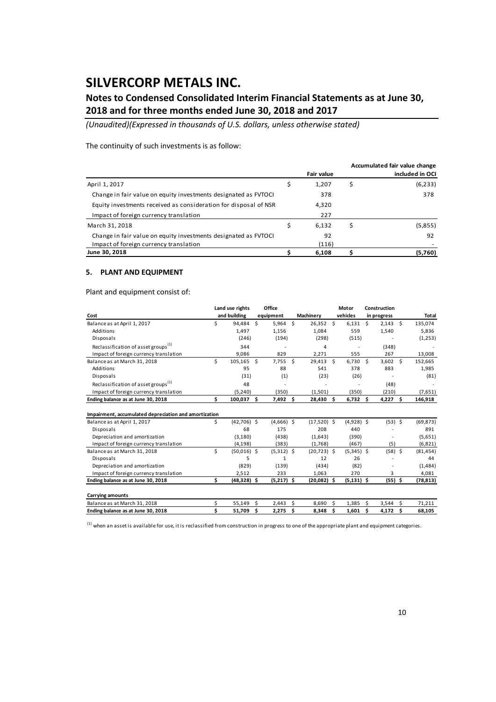### **Notes to Condensed Consolidated Interim Financial Statements as at June 30, 2018 and for three months ended June 30, 2018 and 2017**

*(Unaudited)(Expressed in thousands of U.S. dollars, unless otherwise stated)*

The continuity of such investments is as follow:

|                                                                  |                   | Accumulated fair value change |
|------------------------------------------------------------------|-------------------|-------------------------------|
|                                                                  | <b>Fair value</b> | included in OCI               |
| April 1, 2017                                                    | 1,207             | \$<br>(6, 233)                |
| Change in fair value on equity investments designated as FVTOCI  | 378               | 378                           |
| Equity investments received as consideration for disposal of NSR | 4,320             |                               |
| Impact of foreign currency translation                           | 227               |                               |
| March 31, 2018                                                   | 6.132             | \$<br>(5,855)                 |
| Change in fair value on equity investments designated as FVTOCI  | 92                | 92                            |
| Impact of foreign currency translation                           | (116)             |                               |
| June 30, 2018                                                    | 6.108             | (5,760)                       |

#### **5. PLANT AND EQUIPMENT**

Plant and equipment consist of:

|                                                       |     | Land use rights | Office |              |              |                |              | Motor         |             | Construction |  |           |  |
|-------------------------------------------------------|-----|-----------------|--------|--------------|--------------|----------------|--------------|---------------|-------------|--------------|--|-----------|--|
| Cost                                                  |     | and building    |        | equipment    |              | Machinery      |              | vehicles      | in progress |              |  | Total     |  |
| Balance as at April 1, 2017                           | Ś.  | 94.484          | Ś.     | $5,964$ \$   |              | 26,352 \$      |              | 6.131         | Ŝ.          | $2,143$ \$   |  | 135,074   |  |
| Additions                                             |     | 1,497           |        | 1,156        |              | 1,084          |              | 559           |             | 1,540        |  | 5,836     |  |
| Disposals                                             |     | (246)           |        | (194)        |              | (298)          |              | (515)         |             |              |  | (1,253)   |  |
| Reclassification of asset groups <sup>(1)</sup>       |     | 344             |        |              |              | 4              |              |               |             | (348)        |  |           |  |
| Impact of foreign currency translation                |     | 9,086           |        | 829          |              | 2,271          |              | 555           |             | 267          |  | 13,008    |  |
| Balance as at March 31, 2018                          | Ś   | 105,165 \$      |        | 7,755        | $\mathsf{S}$ | 29,413         | $\mathsf{S}$ | $6,730$ \$    |             | $3,602$ \$   |  | 152,665   |  |
| Additions                                             |     | 95              |        | 88           |              | 541            |              | 378           |             | 883          |  | 1,985     |  |
| Disposals                                             |     | (31)            |        | (1)          |              | (23)           |              | (26)          |             |              |  | (81)      |  |
| Reclassification of asset groups <sup>(1)</sup>       |     | 48              |        |              |              |                |              |               |             | (48)         |  |           |  |
| Impact of foreign currency translation                |     | (5, 240)        |        | (350)        |              | (1,501)        |              | (350)         |             | (210)        |  | (7,651)   |  |
| Ending balance as at June 30, 2018                    | \$. | 100,037         | Ŝ.     | $7,492$ \$   |              | 28,430         | Ŝ            | $6,732$ \$    |             | $4,227$ \$   |  | 146,918   |  |
| Impairment, accumulated depreciation and amortization |     |                 |        |              |              |                |              |               |             |              |  |           |  |
| Balance as at April 1, 2017                           | \$  | $(42,706)$ \$   |        | $(4,666)$ \$ |              | $(17,520)$ \$  |              | $(4,928)$ \$  |             | $(53)$ \$    |  | (69, 873) |  |
| Disposals                                             |     | 68              |        | 175          |              | 208            |              | 440           |             |              |  | 891       |  |
| Depreciation and amortization                         |     | (3, 180)        |        | (438)        |              | (1,643)        |              | (390)         |             |              |  | (5,651)   |  |
| Impact of foreign currency translation                |     | (4, 198)        |        | (383)        |              | (1,768)        |              | (467)         |             | (5)          |  | (6, 821)  |  |
| Balance as at March 31, 2018                          | Ś.  | $(50,016)$ \$   |        | $(5,312)$ \$ |              | $(20, 723)$ \$ |              | $(5,345)$ \$  |             | $(58)$ \$    |  | (81, 454) |  |
| Disposals                                             |     | 5               |        | $\mathbf{1}$ |              | 12             |              | 26            |             |              |  | 44        |  |
| Depreciation and amortization                         |     | (829)           |        | (139)        |              | (434)          |              | (82)          |             |              |  | (1, 484)  |  |
| Impact of foreign currency translation                |     | 2,512           |        | 233          |              | 1,063          |              | 270           |             | 3            |  | 4,081     |  |
| Ending balance as at June 30, 2018                    | Ś.  | $(48, 328)$ \$  |        | $(5,217)$ \$ |              | $(20,082)$ \$  |              | $(5, 131)$ \$ |             | $(55)$ \$    |  | (78, 813) |  |
| <b>Carrying amounts</b>                               |     |                 |        |              |              |                |              |               |             |              |  |           |  |
| Balance as at March 31, 2018                          | \$  | 55,149          | Ŝ      | 2,443        | Ś            | 8,690          | Ŝ            | 1,385         | Ŝ.          | $3,544$ \$   |  | 71,211    |  |
| Ending balance as at June 30, 2018                    | Ś   | 51,709          | \$     | 2,275        | Ŝ.           | 8,348          | Ś            | 1,601         | Ŝ           | $4,172$ \$   |  | 68,105    |  |

 $^{(1)}$  when an asset is available for use, it is reclassified from construction in progress to one of the appropriate plant and equipment categories.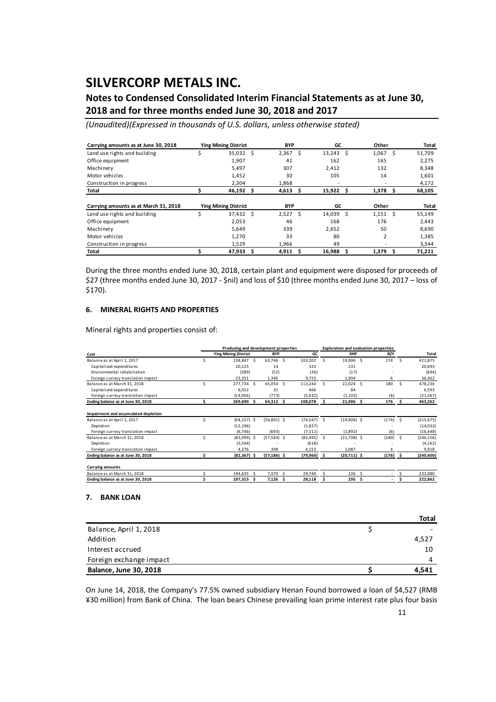### **Notes to Condensed Consolidated Interim Financial Statements as at June 30, 2018 and for three months ended June 30, 2018 and 2017**

*(Unaudited)(Expressed in thousands of U.S. dollars, unless otherwise stated)*

| Carrying amounts as at June 30, 2018  | <b>Ying Mining District</b> |      | <b>BYP</b> |    | GC     |    | Other          |   | Total  |
|---------------------------------------|-----------------------------|------|------------|----|--------|----|----------------|---|--------|
| Land use rights and building          | 35,032                      | Ŝ    | 2,367      | Ś  | 13,243 | .S | 1,067          | Ś | 51,709 |
| Office equipment                      | 1,907                       |      | 41         |    | 162    |    | 165            |   | 2,275  |
| Machinery                             | 5,497                       |      | 307        |    | 2,412  |    | 132            |   | 8,348  |
| Motor vehicles                        | 1,452                       |      | 30         |    | 105    |    | 14             |   | 1,601  |
| Construction in progress              | 2,304                       |      | 1,868      |    |        |    |                |   | 4,172  |
| Total                                 | 46,192                      | Ŝ    | 4,613      | Ŝ  | 15,922 | Ŝ  | 1,378          | S | 68,105 |
|                                       |                             |      |            |    |        |    |                |   |        |
| Carrying amounts as at March 31, 2018 | <b>Ying Mining District</b> |      | <b>BYP</b> |    | GC     |    | Other          |   | Total  |
| Land use rights and building          | \$<br>37,432                | - \$ | 2,527      | Ś. | 14,039 | Ŝ  | 1.151          | Ŝ | 55,149 |
| Office equipment                      | 2,053                       |      | 46         |    | 168    |    | 176            |   | 2,443  |
| Machinery                             | 5.649                       |      | 339        |    | 2,652  |    | 50             |   | 8,690  |
| Motor vehicles                        | 1.270                       |      | 33         |    | 80     |    | $\overline{2}$ |   | 1,385  |
|                                       |                             |      |            |    |        |    |                |   |        |
| Construction in progress              | 1.529                       |      | 1.966      |    | 49     |    |                |   | 3,544  |

During the three months ended June 30, 2018, certain plant and equipment were disposed for proceeds of \$27 (three months ended June 30, 2017 ‐ \$nil) and loss of \$10 (three months ended June 30, 2017 – loss of \$170).

#### **6. MINERAL RIGHTS AND PROPERTIES**

Mineral rights and properties consist of:

|                                      | Producing and development properties |  |                | <b>Exploration and evaluation properties</b> |     |               |     |            |     |            |
|--------------------------------------|--------------------------------------|--|----------------|----------------------------------------------|-----|---------------|-----|------------|-----|------------|
| Cost                                 | <b>Ying Mining District</b>          |  | <b>BYP</b>     | GC                                           |     | XHP           |     | <b>RZY</b> |     | Total      |
| Balance as at April 1, 2017          | 234,847 \$                           |  | 63,746 \$      | 103,202                                      | Š.  | 19,906 \$     |     | 174        | -Ś  | 421,875    |
| Capitalized expenditures             | 20,125                               |  | 14             | 323                                          |     | 231           |     |            |     | 20,693     |
| Environmental rehabiliation          | (589)                                |  | (52)           | (36)                                         |     | (17)          |     |            |     | (694)      |
| Foreign currecy translation impact   | 23,351                               |  | 1,346          | 9,755                                        |     | 1,904         |     | 6          |     | 36,362     |
| Balance as at March 31, 2018         | 277,734 \$                           |  | 65,054 \$      | 113,244                                      | Š.  | 22,024 \$     |     | 180        | .s  | 478,236    |
| Capitalized expenditures             | 6,012                                |  | 31             | 466                                          |     | 84            |     |            |     | 6,593      |
| Foreign currecy translation impact   | (14,056)                             |  | (773)          | (5,632)                                      |     | (1, 102)      |     | (4)        |     | (21, 567)  |
| Ending balance as at June 30, 2018   | 269,690                              |  | $64,312$ \$    | 108,078                                      |     | 21,006        | -Ś  | 176        | - S | 463,262    |
| Impairment and accumulated depletion |                                      |  |                |                                              |     |               |     |            |     |            |
| Balance as at April 1, 2017          | $(64, 157)$ \$                       |  | $(56,891)$ \$  | (74,547)                                     | -S  | $(19,906)$ \$ |     | (174)      | - S | (215, 675) |
| Depletion                            | (12, 196)                            |  |                | (1,837)                                      |     |               |     |            |     | (14, 033)  |
| Foreign currecy translation impact   | (6,746)                              |  | (693)          | (7, 111)                                     |     | (1,892)       |     | (6)        |     | (16, 448)  |
| Balance as at March 31, 2018         | $(83,099)$ \$                        |  | $(57,584)$ \$  | (83, 495)                                    | Ŝ   | $(21,798)$ \$ |     | (180)      | - S | (246, 156) |
| Depletion                            | (3,544)                              |  |                | (618)                                        |     |               |     |            |     | (4, 162)   |
| Foreign currecy translation impact   | 4,276                                |  | 398            | 4,153                                        |     | 1.087         |     | 4          |     | 9,918      |
| Ending balance as at June 30, 2018   | $(82, 367)$ \$                       |  | $(57, 186)$ \$ | (79,960)                                     | - S | $(20,711)$ \$ |     | $(176)$ \$ |     | (240, 400) |
| <b>Carrying amounts</b>              |                                      |  |                |                                              |     |               |     |            |     |            |
| Balance as at March 31, 2018         | 194,635                              |  | 7,470          | 29,749                                       |     | 226           | Ŝ.  |            |     | 232,080    |
| Ending balance as at June 30, 2018   | 187,323                              |  | $7.126$ \$     | 28,118                                       |     | 295           | - Ś |            |     | 222,862    |

#### **7. BANK LOAN**

|                               | <b>Total</b> |
|-------------------------------|--------------|
| Balance, April 1, 2018        |              |
| Addition                      | 4,527        |
| Interest accrued              | 10           |
| Foreign exchange impact       | 4            |
| <b>Balance, June 30, 2018</b> | 4.541        |

On June 14, 2018, the Company's 77.5% owned subsidiary Henan Found borrowed a loan of \$4,527 (RMB ¥30 million) from Bank of China. The loan bears Chinese prevailing loan prime interest rate plus four basis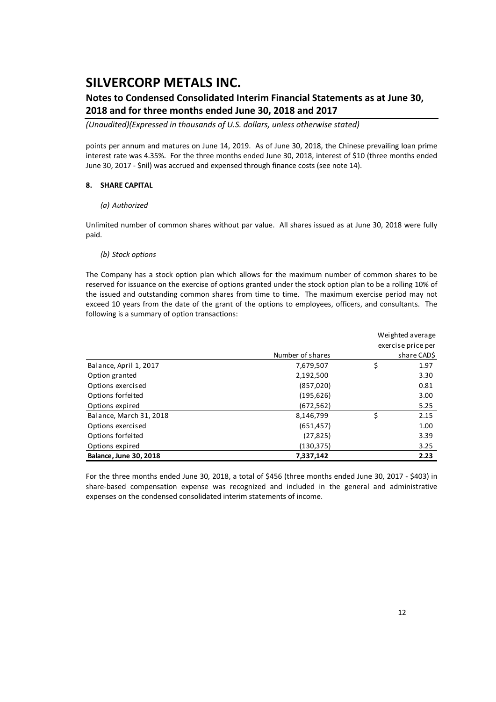### **Notes to Condensed Consolidated Interim Financial Statements as at June 30, 2018 and for three months ended June 30, 2018 and 2017**

*(Unaudited)(Expressed in thousands of U.S. dollars, unless otherwise stated)*

points per annum and matures on June 14, 2019. As of June 30, 2018, the Chinese prevailing loan prime interest rate was 4.35%. For the three months ended June 30, 2018, interest of \$10 (three months ended June 30, 2017 ‐ \$nil) was accrued and expensed through finance costs (see note 14).

#### **8. SHARE CAPITAL**

#### *(a) Authorized*

Unlimited number of common shares without par value. All shares issued as at June 30, 2018 were fully paid.

#### *(b) Stock options*

The Company has a stock option plan which allows for the maximum number of common shares to be reserved for issuance on the exercise of options granted under the stock option plan to be a rolling 10% of the issued and outstanding common shares from time to time. The maximum exercise period may not exceed 10 years from the date of the grant of the options to employees, officers, and consultants. The following is a summary of option transactions:

|                               |                  | Weighted average |                    |  |  |
|-------------------------------|------------------|------------------|--------------------|--|--|
|                               |                  |                  | exercise price per |  |  |
|                               | Number of shares |                  | share CAD\$        |  |  |
| Balance, April 1, 2017        | 7,679,507        | \$               | 1.97               |  |  |
| Option granted                | 2,192,500        |                  | 3.30               |  |  |
| Options exercised             | (857,020)        |                  | 0.81               |  |  |
| Options forfeited             | (195, 626)       |                  | 3.00               |  |  |
| Options expired               | (672, 562)       |                  | 5.25               |  |  |
| Balance, March 31, 2018       | 8,146,799        | Ś                | 2.15               |  |  |
| Options exercised             | (651, 457)       |                  | 1.00               |  |  |
| Options forfeited             | (27, 825)        |                  | 3.39               |  |  |
| Options expired               | (130,375)        |                  | 3.25               |  |  |
| <b>Balance, June 30, 2018</b> | 7,337,142        |                  | 2.23               |  |  |

For the three months ended June 30, 2018, a total of \$456 (three months ended June 30, 2017 ‐ \$403) in share-based compensation expense was recognized and included in the general and administrative expenses on the condensed consolidated interim statements of income.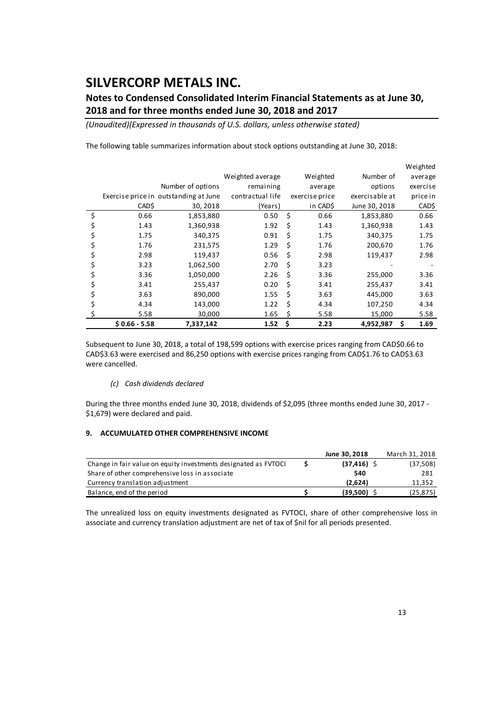## **Notes to Condensed Consolidated Interim Financial Statements as at June 30, 2018 and for three months ended June 30, 2018 and 2017**

*(Unaudited)(Expressed in thousands of U.S. dollars, unless otherwise stated)*

|                |                                       |                  |    |                |                | Weighted  |
|----------------|---------------------------------------|------------------|----|----------------|----------------|-----------|
|                |                                       | Weighted average |    | Weighted       | Number of      | average   |
|                | Number of options                     | remaining        |    | average        | options        | exercise  |
|                | Exercise price in outstanding at June | contractual life |    | exercise price | exercisable at | price in  |
| CAD\$          | 30, 2018                              | (Years)          |    | in CAD\$       | June 30, 2018  | CAD\$     |
| \$<br>0.66     | 1,853,880                             | 0.50             | \$ | 0.66           | 1,853,880      | 0.66      |
| \$<br>1.43     | 1,360,938                             | 1.92             | \$ | 1.43           | 1,360,938      | 1.43      |
| 1.75           | 340,375                               | 0.91             | Ś  | 1.75           | 340,375        | 1.75      |
| 1.76           | 231,575                               | 1.29             | Ś  | 1.76           | 200,670        | 1.76      |
| \$<br>2.98     | 119,437                               | 0.56             | Ŝ. | 2.98           | 119,437        | 2.98      |
| \$<br>3.23     | 1,062,500                             | 2.70             | Ś  | 3.23           |                |           |
| 3.36           | 1,050,000                             | 2.26             | \$ | 3.36           | 255,000        | 3.36      |
| 3.41           | 255,437                               | 0.20             | \$ | 3.41           | 255,437        | 3.41      |
| 3.63           | 890,000                               | 1.55             | \$ | 3.63           | 445,000        | 3.63      |
| \$<br>4.34     | 143,000                               | 1.22             | Ś  | 4.34           | 107,250        | 4.34      |
| 5.58           | 30,000                                | 1.65             | Ś  | 5.58           | 15,000         | 5.58      |
| $$0.66 - 5.58$ | 7,337,142                             | 1.52             | \$ | 2.23           | 4,952,987      | Ś<br>1.69 |

The following table summarizes information about stock options outstanding at June 30, 2018:

Subsequent to June 30, 2018, a total of 198,599 options with exercise prices ranging from CAD\$0.66 to CAD\$3.63 were exercised and 86,250 options with exercise prices ranging from CAD\$1.76 to CAD\$3.63 were cancelled.

#### *(c) Cash dividends declared*

During the three months ended June 30, 2018, dividends of \$2,095 (three months ended June 30, 2017 ‐ \$1,679) were declared and paid.

#### **9. ACCUMULATED OTHER COMPREHENSIVE INCOME**

|                                                                 | June 30, 2018  | March 31, 2018 |
|-----------------------------------------------------------------|----------------|----------------|
| Change in fair value on equity investments designated as FVTOCI | $(37, 416)$ \$ | (37,508)       |
| Share of other comprehensive loss in associate                  | 540            | 281            |
| Currency translation adjustment                                 | (2.624)        | 11,352         |
| Balance, end of the period                                      | $(39,500)$ \$  | (25, 875)      |

The unrealized loss on equity investments designated as FVTOCI, share of other comprehensive loss in associate and currency translation adjustment are net of tax of \$nil for all periods presented.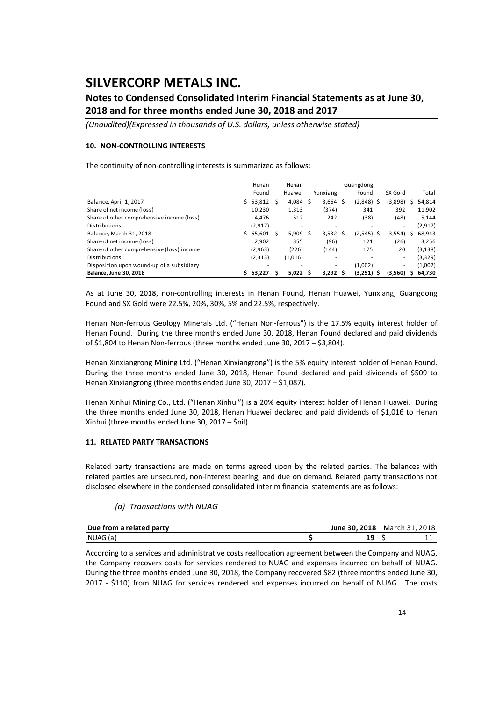### **Notes to Condensed Consolidated Interim Financial Statements as at June 30, 2018 and for three months ended June 30, 2018 and 2017**

*(Unaudited)(Expressed in thousands of U.S. dollars, unless otherwise stated)*

#### **10. NON‐CONTROLLING INTERESTS**

The continuity of non-controlling interests is summarized as follows:

|                                            |    | Henan    |    | Henan   | Guangdong |            |  |               |         |   |          |
|--------------------------------------------|----|----------|----|---------|-----------|------------|--|---------------|---------|---|----------|
|                                            |    | Found    |    | Huawei  |           | Yunxiang   |  | Found         | SX Gold |   | Total    |
| Balance, April 1, 2017                     | Ś. | 53,812   | -S | 4,084   | -S        | $3,664$ \$ |  | (2,848)<br>S  | (3,898) | S | 54,814   |
| Share of net income (loss)                 |    | 10,230   |    | 1,313   |           | (374)      |  | 341           | 392     |   | 11,902   |
| Share of other comprehensive income (loss) |    | 4.476    |    | 512     |           | 242        |  | (38)          | (48)    |   | 5,144    |
| Distributions                              |    | (2,917)  |    | ۰       |           | ۰          |  |               |         |   | (2, 917) |
| Balance, March 31, 2018                    |    | \$65,601 | S  | 5,909   | -S        | $3,532$ \$ |  | (2, 545)<br>S | (3,554) | S | 68,943   |
| Share of net income (loss)                 |    | 2.902    |    | 355     |           | (96)       |  | 121           | (26)    |   | 3,256    |
| Share of other comprehensive (loss) income |    | (2,963)  |    | (226)   |           | (144)      |  | 175           | 20      |   | (3, 138) |
| <b>Distributions</b>                       |    | (2, 313) |    | (1,016) |           | ۰          |  |               | ٠       |   | (3, 329) |
| Disposition upon wound-up of a subsidiary  |    |          |    | ۰       |           | ۰          |  | (1.002)       | ۰       |   | (1,002)  |
| Balance, June 30, 2018                     | S. | 63,227   |    | 5.022S  |           | $3,292$ \$ |  | $(3,251)$ \$  | (3,560) | s | 64,730   |

As at June 30, 2018, non‐controlling interests in Henan Found, Henan Huawei, Yunxiang, Guangdong Found and SX Gold were 22.5%, 20%, 30%, 5% and 22.5%, respectively.

Henan Non-ferrous Geology Minerals Ltd. ("Henan Non-ferrous") is the 17.5% equity interest holder of Henan Found. During the three months ended June 30, 2018, Henan Found declared and paid dividends of \$1,804 to Henan Non‐ferrous (three months ended June 30, 2017 – \$3,804).

Henan Xinxiangrong Mining Ltd. ("Henan Xinxiangrong") is the 5% equity interest holder of Henan Found. During the three months ended June 30, 2018, Henan Found declared and paid dividends of \$509 to Henan Xinxiangrong (three months ended June 30, 2017 – \$1,087).

Henan Xinhui Mining Co., Ltd. ("Henan Xinhui") is a 20% equity interest holder of Henan Huawei. During the three months ended June 30, 2018, Henan Huawei declared and paid dividends of \$1,016 to Henan Xinhui (three months ended June 30, 2017 – \$nil).

#### **11. RELATED PARTY TRANSACTIONS**

Related party transactions are made on terms agreed upon by the related parties. The balances with related parties are unsecured, non-interest bearing, and due on demand. Related party transactions not disclosed elsewhere in the condensed consolidated interim financial statements are as follows:

#### *(a) Transactions with NUAG*

| Due from a related party | June 30, 2018 | March 31 | 2018 |
|--------------------------|---------------|----------|------|
| NUAG (a)                 |               |          |      |

According to a services and administrative costs reallocation agreement between the Company and NUAG, the Company recovers costs for services rendered to NUAG and expenses incurred on behalf of NUAG. During the three months ended June 30, 2018, the Company recovered \$82 (three months ended June 30, 2017 - \$110) from NUAG for services rendered and expenses incurred on behalf of NUAG. The costs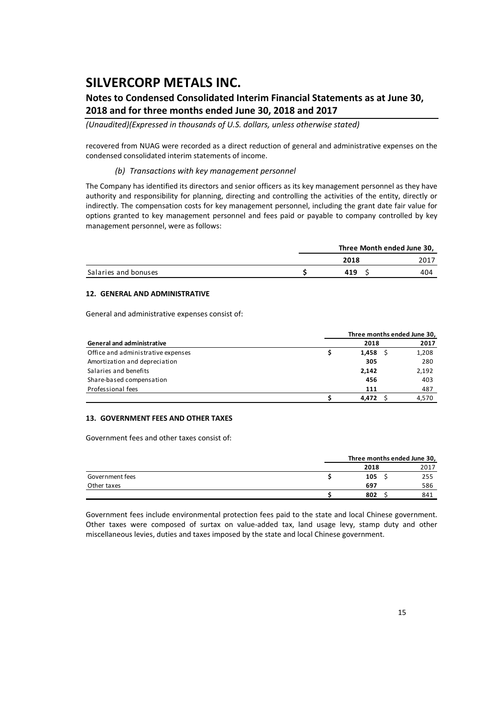### **Notes to Condensed Consolidated Interim Financial Statements as at June 30, 2018 and for three months ended June 30, 2018 and 2017**

*(Unaudited)(Expressed in thousands of U.S. dollars, unless otherwise stated)*

recovered from NUAG were recorded as a direct reduction of general and administrative expenses on the condensed consolidated interim statements of income.

#### *(b) Transactions with key management personnel*

The Company has identified its directors and senior officers as its key management personnel as they have authority and responsibility for planning, directing and controlling the activities of the entity, directly or indirectly. The compensation costs for key management personnel, including the grant date fair value for options granted to key management personnel and fees paid or payable to company controlled by key management personnel, were as follows:

|                      | Three Month ended June 30, |      |  |  |  |
|----------------------|----------------------------|------|--|--|--|
|                      | 2018                       | 2017 |  |  |  |
| Salaries and bonuses | 419                        | 404  |  |  |  |

#### **12. GENERAL AND ADMINISTRATIVE**

General and administrative expenses consist of:

|                                    |       | Three months ended June 30, |
|------------------------------------|-------|-----------------------------|
| <b>General and administrative</b>  | 2018  | 2017                        |
| Office and administrative expenses | 1,458 | 1,208                       |
| Amortization and depreciation      | 305   | 280                         |
| Salaries and benefits              | 2.142 | 2,192                       |
| Share-based compensation           | 456   | 403                         |
| Professional fees                  | 111   | 487                         |
|                                    | 4.472 | 4.570                       |

#### **13. GOVERNMENT FEES AND OTHER TAXES**

Government fees and other taxes consist of:

|                 |      | Three months ended June 30, |      |  |  |  |
|-----------------|------|-----------------------------|------|--|--|--|
|                 | 2018 |                             | 2017 |  |  |  |
| Government fees | 105  |                             | 255  |  |  |  |
| Other taxes     | 697  |                             | 586  |  |  |  |
|                 | 802  |                             | 841  |  |  |  |

Government fees include environmental protection fees paid to the state and local Chinese government. Other taxes were composed of surtax on value‐added tax, land usage levy, stamp duty and other miscellaneous levies, duties and taxes imposed by the state and local Chinese government.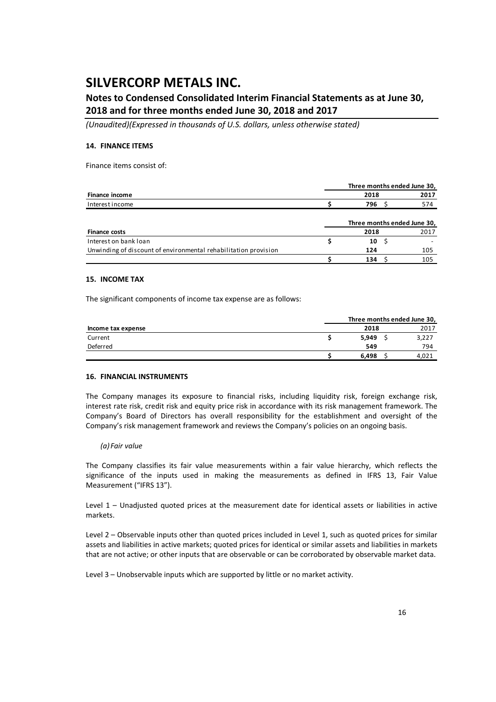### **Notes to Condensed Consolidated Interim Financial Statements as at June 30, 2018 and for three months ended June 30, 2018 and 2017**

*(Unaudited)(Expressed in thousands of U.S. dollars, unless otherwise stated)*

#### **14. FINANCE ITEMS**

Finance items consist of:

|                                                                 |      | Three months ended June 30, |
|-----------------------------------------------------------------|------|-----------------------------|
| <b>Finance income</b>                                           | 2018 | 2017                        |
| Interest income                                                 | 796  | 574                         |
|                                                                 |      |                             |
|                                                                 |      | Three months ended June 30, |
| <b>Finance costs</b>                                            | 2018 | 2017                        |
| Interest on bank loan                                           | 10   |                             |
| Unwinding of discount of environmental rehabilitation provision | 124  | 105                         |
|                                                                 | 134  | 105                         |

#### **15. INCOME TAX**

The significant components of income tax expense are as follows:

|                    |       | Three months ended June 30, |
|--------------------|-------|-----------------------------|
| Income tax expense | 2018  | 2017                        |
| Current            | 5.949 | 3,227                       |
| Deferred           | 549   | 794                         |
|                    | 6.498 | 4.021                       |

#### **16. FINANCIAL INSTRUMENTS**

The Company manages its exposure to financial risks, including liquidity risk, foreign exchange risk, interest rate risk, credit risk and equity price risk in accordance with its risk management framework. The Company's Board of Directors has overall responsibility for the establishment and oversight of the Company's risk management framework and reviews the Company's policies on an ongoing basis.

#### *(a) Fair value*

The Company classifies its fair value measurements within a fair value hierarchy, which reflects the significance of the inputs used in making the measurements as defined in IFRS 13, Fair Value Measurement ("IFRS 13").

Level 1 – Unadjusted quoted prices at the measurement date for identical assets or liabilities in active markets.

Level 2 – Observable inputs other than quoted prices included in Level 1, such as quoted prices for similar assets and liabilities in active markets; quoted prices for identical or similar assets and liabilities in markets that are not active; or other inputs that are observable or can be corroborated by observable market data.

Level 3 – Unobservable inputs which are supported by little or no market activity.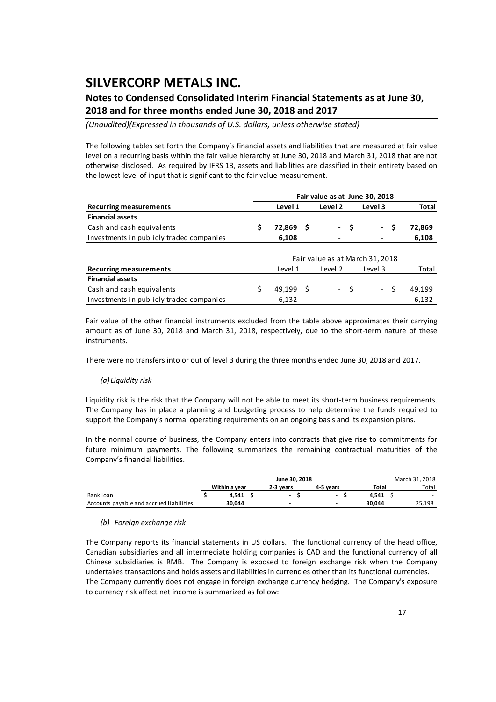### **Notes to Condensed Consolidated Interim Financial Statements as at June 30, 2018 and for three months ended June 30, 2018 and 2017**

*(Unaudited)(Expressed in thousands of U.S. dollars, unless otherwise stated)*

The following tables set forth the Company's financial assets and liabilities that are measured at fair value level on a recurring basis within the fair value hierarchy at June 30, 2018 and March 31, 2018 that are not otherwise disclosed. As required by IFRS 13, assets and liabilities are classified in their entirety based on the lowest level of input that is significant to the fair value measurement.

|                                          |   |                                 | Fair value as at June 30, 2018 |         |      |                 |    |              |  |
|------------------------------------------|---|---------------------------------|--------------------------------|---------|------|-----------------|----|--------------|--|
| <b>Recurring measurements</b>            |   | Level 1                         |                                | Level 2 |      | Level 3         |    | <b>Total</b> |  |
| <b>Financial assets</b>                  |   |                                 |                                |         |      |                 |    |              |  |
| Cash and cash equivalents                | S | 72,869 \$                       |                                |         | - \$ | $\sim$ 10 $\pm$ | S  | 72,869       |  |
| Investments in publicly traded companies |   | 6,108                           |                                |         |      |                 |    | 6,108        |  |
|                                          |   | Fair value as at March 31, 2018 |                                |         |      |                 |    |              |  |
| <b>Recurring measurements</b>            |   | Level 1                         |                                | Level 2 |      | Level 3         |    | Total        |  |
| <b>Financial assets</b>                  |   |                                 |                                |         |      |                 |    |              |  |
| Cash and cash equivalents                |   | 49.199                          | - S                            |         | $-5$ | $\sim 10^{-1}$  | Ŝ. | 49.199       |  |
| Investments in publicly traded companies |   | 6,132                           |                                |         |      |                 |    | 6,132        |  |

Fair value of the other financial instruments excluded from the table above approximates their carrying amount as of June 30, 2018 and March 31, 2018, respectively, due to the short-term nature of these instruments.

There were no transfers into or out of level 3 during the three months ended June 30, 2018 and 2017.

#### *(a) Liquidity risk*

Liquidity risk is the risk that the Company will not be able to meet its short‐term business requirements. The Company has in place a planning and budgeting process to help determine the funds required to support the Company's normal operating requirements on an ongoing basis and its expansion plans.

In the normal course of business, the Company enters into contracts that give rise to commitments for future minimum payments. The following summarizes the remaining contractual maturities of the Company's financial liabilities.

|                                          |               | June 30, 2018 |                          |        | March 31, 2018 |
|------------------------------------------|---------------|---------------|--------------------------|--------|----------------|
|                                          | Within a vear | 2-3 vears     | 4-5 vears                | Total  | Total          |
| Bank loan                                | 4.541         |               | $\overline{\phantom{a}}$ | 4.541  | . .            |
| Accounts payable and accrued liabilities | 30.044        | -             | $\overline{\phantom{0}}$ | 30.044 | 25.198         |

#### *(b) Foreign exchange risk*

The Company reports its financial statements in US dollars. The functional currency of the head office, Canadian subsidiaries and all intermediate holding companies is CAD and the functional currency of all Chinese subsidiaries is RMB. The Company is exposed to foreign exchange risk when the Company undertakes transactions and holds assets and liabilities in currencies other than its functional currencies. The Company currently does not engage in foreign exchange currency hedging. The Company's exposure to currency risk affect net income is summarized as follow: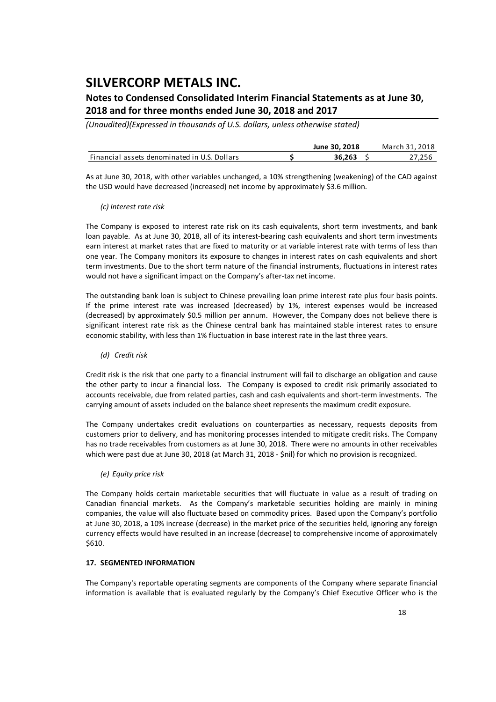### **Notes to Condensed Consolidated Interim Financial Statements as at June 30, 2018 and for three months ended June 30, 2018 and 2017**

*(Unaudited)(Expressed in thousands of U.S. dollars, unless otherwise stated)*

|                                              | June 30, 2018 | March 31, 2018 |
|----------------------------------------------|---------------|----------------|
| Financial assets denominated in U.S. Dollars | 36.263        | 27.256         |

As at June 30, 2018, with other variables unchanged, a 10% strengthening (weakening) of the CAD against the USD would have decreased (increased) net income by approximately \$3.6 million.

#### *(c) Interest rate risk*

The Company is exposed to interest rate risk on its cash equivalents, short term investments, and bank loan payable. As at June 30, 2018, all of its interest-bearing cash equivalents and short term investments earn interest at market rates that are fixed to maturity or at variable interest rate with terms of less than one year. The Company monitors its exposure to changes in interest rates on cash equivalents and short term investments. Due to the short term nature of the financial instruments, fluctuations in interest rates would not have a significant impact on the Company's after-tax net income.

The outstanding bank loan is subject to Chinese prevailing loan prime interest rate plus four basis points. If the prime interest rate was increased (decreased) by 1%, interest expenses would be increased (decreased) by approximately \$0.5 million per annum. However, the Company does not believe there is significant interest rate risk as the Chinese central bank has maintained stable interest rates to ensure economic stability, with less than 1% fluctuation in base interest rate in the last three years.

*(d) Credit risk*

Credit risk is the risk that one party to a financial instrument will fail to discharge an obligation and cause the other party to incur a financial loss. The Company is exposed to credit risk primarily associated to accounts receivable, due from related parties, cash and cash equivalents and short-term investments. The carrying amount of assets included on the balance sheet represents the maximum credit exposure.

The Company undertakes credit evaluations on counterparties as necessary, requests deposits from customers prior to delivery, and has monitoring processes intended to mitigate credit risks. The Company has no trade receivables from customers as at June 30, 2018. There were no amounts in other receivables which were past due at June 30, 2018 (at March 31, 2018 - \$nil) for which no provision is recognized.

*(e) Equity price risk*

The Company holds certain marketable securities that will fluctuate in value as a result of trading on Canadian financial markets. As the Company's marketable securities holding are mainly in mining companies, the value will also fluctuate based on commodity prices. Based upon the Company's portfolio at June 30, 2018, a 10% increase (decrease) in the market price of the securities held, ignoring any foreign currency effects would have resulted in an increase (decrease) to comprehensive income of approximately \$610.

#### **17. SEGMENTED INFORMATION**

The Company's reportable operating segments are components of the Company where separate financial information is available that is evaluated regularly by the Company's Chief Executive Officer who is the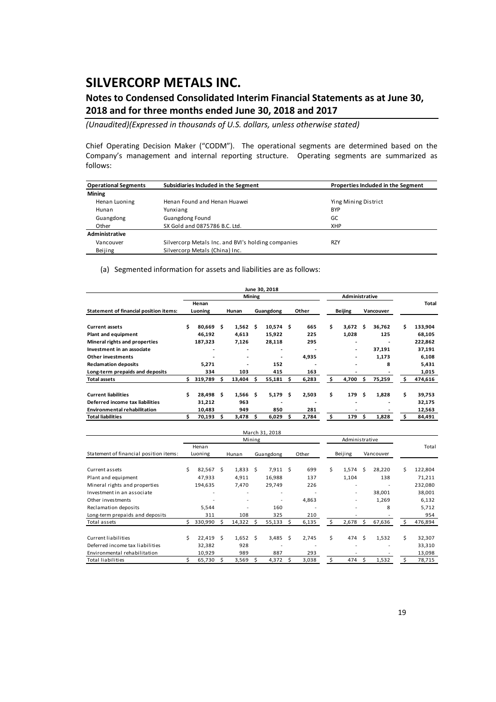### **Notes to Condensed Consolidated Interim Financial Statements as at June 30, 2018 and for three months ended June 30, 2018 and 2017**

*(Unaudited)(Expressed in thousands of U.S. dollars, unless otherwise stated)*

Chief Operating Decision Maker ("CODM"). The operational segments are determined based on the Company's management and internal reporting structure. Operating segments are summarized as follows:

| <b>Operational Segments</b> | Subsidiaries Included in the Segment               | Properties Included in the Segment |
|-----------------------------|----------------------------------------------------|------------------------------------|
| <b>Mining</b>               |                                                    |                                    |
| Henan Luoning               | Henan Found and Henan Huawei                       | Ying Mining District               |
| Hunan                       | Yunxiang                                           | <b>BYP</b>                         |
| Guangdong                   | <b>Guangdong Found</b>                             | GC                                 |
| Other                       | SX Gold and 0875786 B.C. Ltd.                      | <b>XHP</b>                         |
| Administrative              |                                                    |                                    |
| Vancouver                   | Silvercorp Metals Inc. and BVI's holding companies | <b>RZY</b>                         |
| Beijing                     | Silvercorp Metals (China) Inc.                     |                                    |

(a) Segmented information for assets and liabilities are as follows:

|                                               |    |         |     |                          |               | June 30, 2018            |     |       |    |                          |    |           |    |         |
|-----------------------------------------------|----|---------|-----|--------------------------|---------------|--------------------------|-----|-------|----|--------------------------|----|-----------|----|---------|
|                                               |    |         |     |                          | <b>Mining</b> |                          |     |       |    | Administrative           |    |           |    |         |
|                                               |    | Henan   |     |                          |               |                          |     |       |    |                          |    |           |    | Total   |
| <b>Statement of financial position items:</b> |    | Luoning |     | Hunan                    |               | Guangdong                |     | Other |    | <b>Beijing</b>           |    | Vancouver |    |         |
|                                               |    |         |     |                          |               |                          |     |       |    |                          |    |           |    |         |
| <b>Current assets</b>                         | Ś. | 80,669  | s   | 1,562                    | - Ś           | 10,574                   | Ŝ   | 665   | \$ | 3,672                    | s  | 36,762    | Ś  | 133,904 |
| Plant and equipment                           |    | 46,192  |     | 4,613                    |               | 15,922                   |     | 225   |    | 1,028                    |    | 125       |    | 68,105  |
| Mineral rights and properties                 |    | 187,323 |     | 7,126                    |               | 28,118                   |     | 295   |    |                          |    |           |    | 222,862 |
| Investment in an associate                    |    | ۰       |     |                          |               | $\overline{\phantom{0}}$ |     |       |    | ٠                        |    | 37,191    |    | 37,191  |
| Other investments                             |    |         |     | $\overline{\phantom{0}}$ |               |                          |     | 4,935 |    |                          |    | 1,173     |    | 6,108   |
| <b>Reclamation deposits</b>                   |    | 5,271   |     | ۰                        |               | 152                      |     |       |    |                          |    | 8         |    | 5,431   |
| Long-term prepaids and deposits               |    | 334     |     | 103                      |               | 415                      |     | 163   |    | $\overline{\phantom{0}}$ |    |           |    | 1,015   |
| <b>Total assets</b>                           | Ś. | 319,789 | s   | 13,404                   |               | 55,181                   | \$. | 6,283 | Ś  | 4,700                    | Ś. | 75,259    | s  | 474,616 |
|                                               |    |         |     |                          |               |                          |     |       |    |                          |    |           |    |         |
| <b>Current liabilities</b>                    | Ś. | 28.498  | \$. | $1,566$ \$               |               | 5,179                    | \$. | 2,503 | \$ | 179                      | \$ | 1,828     | \$ | 39,753  |
| Deferred income tax liabilities               |    | 31,212  |     | 963                      |               |                          |     |       |    |                          |    |           |    | 32,175  |
| <b>Environmental rehabilitation</b>           |    | 10,483  |     | 949                      |               | 850                      |     | 281   |    |                          |    |           |    | 12,563  |
| <b>Total liabilities</b>                      |    | 70,193  | s   | 3,478                    | s             | 6,029                    | s   | 2,784 | Ś. | 179                      | Ś  | 1,828     | S  | 84,491  |

|                                        |     |         |    |        |        | March 31, 2018 |    |       |    |                          |    |           |    |         |
|----------------------------------------|-----|---------|----|--------|--------|----------------|----|-------|----|--------------------------|----|-----------|----|---------|
|                                        |     |         |    |        | Mining |                |    |       |    | Administrative           |    |           |    |         |
|                                        |     | Henan   |    |        |        |                |    |       |    |                          |    |           |    | Total   |
| Statement of financial position items: |     | Luoning |    | Hunan  |        | Guangdong      |    | Other |    | Beijing                  |    | Vancouver |    |         |
|                                        |     |         |    |        |        |                |    |       |    |                          |    |           |    |         |
| Current assets                         | Ś   | 82,567  | Ŝ. | 1,833  | Ŝ.     | 7,911          | Ŝ. | 699   | Ś. | 1,574                    | Ś. | 28,220    | Ś  | 122,804 |
| Plant and equipment                    |     | 47,933  |    | 4,911  |        | 16,988         |    | 137   |    | 1,104                    |    | 138       |    | 71,211  |
| Mineral rights and properties          |     | 194,635 |    | 7,470  |        | 29,749         |    | 226   |    | ٠                        |    |           |    | 232,080 |
| Investment in an associate             |     | ٠       |    | ٠      |        | ٠              |    |       |    | $\overline{\phantom{a}}$ |    | 38,001    |    | 38,001  |
| Other investments                      |     |         |    | ٠      |        | ٠              |    | 4,863 |    | $\overline{\phantom{0}}$ |    | 1,269     |    | 6,132   |
| Reclamation deposits                   |     | 5,544   |    |        |        | 160            |    |       |    | ٠                        |    | 8         |    | 5,712   |
| Long-term prepaids and deposits        |     | 311     |    | 108    |        | 325            |    | 210   |    |                          |    |           |    | 954     |
| Total assets                           | Ś.  | 330,990 | Ś  | 14,322 | S      | 55,133         | Ś  | 6,135 | S  | 2,678                    | Ś  | 67,636    | S  | 476,894 |
|                                        |     |         |    |        |        |                |    |       |    |                          |    |           |    |         |
| Current liabilities                    | \$. | 22.419  | Ś  | 1,652  | Ŝ.     | 3,485          | Ś  | 2.745 | \$ | 474                      | Ś  | 1,532     | \$ | 32,307  |
| Deferred income tax liabilities        |     | 32,382  |    | 928    |        |                |    |       |    |                          |    |           |    | 33,310  |
| Environmental rehabilitation           |     | 10,929  |    | 989    |        | 887            |    | 293   |    |                          |    |           |    | 13,098  |
| Total liabilities                      |     | 65,730  | S  | 3,569  |        | 4,372          | S  | 3,038 | \$ | 474                      | Ŝ  | 1,532     |    | 78,715  |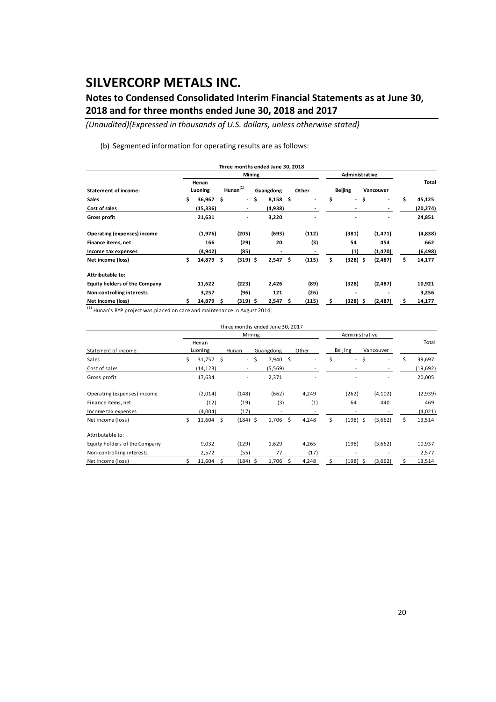## **Notes to Condensed Consolidated Interim Financial Statements as at June 30, 2018 and for three months ended June 30, 2018 and 2017**

*(Unaudited)(Expressed in thousands of U.S. dollars, unless otherwise stated)*

(b) Segmented information for operating results are as follows:

|                               |                   |     |                          |               | Three months ended June 30, 2018 |    |       |                                |           |              |
|-------------------------------|-------------------|-----|--------------------------|---------------|----------------------------------|----|-------|--------------------------------|-----------|--------------|
|                               |                   |     |                          | <b>Mining</b> |                                  |    |       | Administrative                 |           |              |
| <b>Statement of income:</b>   | Henan<br>Luoning  |     | $H$ unan $(1)$           |               | Guangdong                        |    | Other | <b>Beijing</b>                 | Vancouver | Total        |
| <b>Sales</b>                  | \$<br>$36,967$ \$ |     | $\sim$                   | \$            | 8,158                            | \$ |       | \$<br>$\overline{\phantom{a}}$ | \$<br>٠   | \$<br>45,125 |
| Cost of sales                 | (15, 336)         |     | $\overline{\phantom{a}}$ |               | (4,938)                          |    |       |                                |           | (20, 274)    |
| Gross profit                  | 21,631            |     | ٠                        |               | 3,220                            |    |       |                                | -         | 24,851       |
| Operating (expenses) income   | (1,976)           |     | (205)                    |               | (693)                            |    | (112) | (381)                          | (1, 471)  | (4,838)      |
| Finance items, net            | 166               |     | (29)                     |               | 20                               |    | (3)   | 54                             | 454       | 662          |
| Income tax expenses           | (4, 942)          |     | (85)                     |               | $\overline{\phantom{a}}$         |    |       | (1)                            | (1,470)   | (6, 498)     |
| Net income (loss)             | \$<br>14,879 \$   |     | $(319)$ \$               |               | 2,547                            | \$ | (115) | \$<br>$(328)$ \$               | (2,487)   | \$<br>14,177 |
| Attributable to:              |                   |     |                          |               |                                  |    |       |                                |           |              |
| Equity holders of the Company | 11,622            |     | (223)                    |               | 2,426                            |    | (89)  | (328)                          | (2,487)   | 10,921       |
| Non-controlling interests     | 3,257             |     | (96)                     |               | 121                              |    | (26)  | $\overline{\phantom{a}}$       |           | 3,256        |
| Net income (loss)             | 14,879            | \$. | $(319)$ \$               |               | 2,547                            | Ŝ  | (115) | \$<br>$(328)$ \$               | (2,487)   | 14,177       |

(1) Hunan's BYP project was placed on care and maintenance in August 2014;

|                               |                  |             |       |                          |    | Three months ended June 30, 2017 |    |       |    |                |           |                          |    |          |
|-------------------------------|------------------|-------------|-------|--------------------------|----|----------------------------------|----|-------|----|----------------|-----------|--------------------------|----|----------|
|                               |                  |             |       | Mining                   |    |                                  |    |       |    | Administrative |           |                          |    |          |
| Statement of income:          | Henan<br>Luoning |             | Hunan |                          |    | Guangdong                        |    | Other |    | Beijing        | Vancouver |                          |    | Total    |
| Sales                         | \$               | $31,757$ \$ |       | $\overline{\phantom{a}}$ | \$ | 7,940                            | \$ |       | Ś  | $\blacksquare$ | \$        | $\overline{\phantom{a}}$ | Ś  | 39,697   |
| Cost of sales                 |                  | (14, 123)   |       |                          |    | (5, 569)                         |    |       |    |                |           |                          |    | (19,692) |
| Gross profit                  |                  | 17,634      |       | ۰                        |    | 2,371                            |    |       |    |                |           |                          |    | 20,005   |
| Operating (expenses) income   |                  | (2,014)     |       | (148)                    |    | (662)                            |    | 4,249 |    | (262)          |           | (4, 102)                 |    | (2,939)  |
| Finance items, net            |                  | (12)        |       | (19)                     |    | (3)                              |    | (1)   |    | 64             |           | 440                      |    | 469      |
| Income tax expenses           |                  | (4,004)     |       | (17)                     |    |                                  |    |       |    |                |           |                          |    | (4,021)  |
| Net income (loss)             | \$               | 11,604      | \$    | $(184)$ \$               |    | 1,706                            | \$ | 4,248 | \$ | $(198)$ \$     |           | (3,662)                  | \$ | 13,514   |
| Attributable to:              |                  |             |       |                          |    |                                  |    |       |    |                |           |                          |    |          |
| Equity holders of the Company |                  | 9,032       |       | (129)                    |    | 1,629                            |    | 4,265 |    | (198)          |           | (3,662)                  |    | 10,937   |
| Non-controlling interests     |                  | 2,572       |       | (55)                     |    | 77                               |    | (17)  |    |                |           |                          |    | 2,577    |
| Net income (loss)             |                  | 11,604      | Ŝ.    | (184) \$                 |    | 1,706                            | Ŝ. | 4,248 | Ś. | (198)          | - \$      | (3,662)                  | Ś  | 13,514   |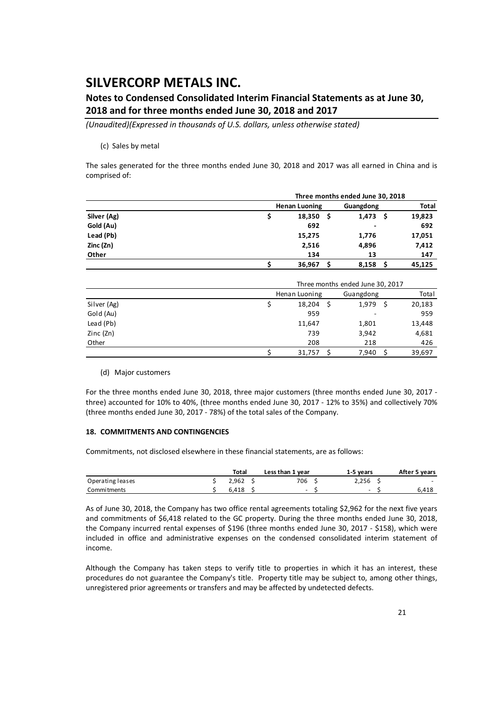### **Notes to Condensed Consolidated Interim Financial Statements as at June 30, 2018 and for three months ended June 30, 2018 and 2017**

*(Unaudited)(Expressed in thousands of U.S. dollars, unless otherwise stated)*

#### (c) Sales by metal

The sales generated for the three months ended June 30, 2018 and 2017 was all earned in China and is comprised of:

|             |                      |               | Three months ended June 30, 2018 |    |              |
|-------------|----------------------|---------------|----------------------------------|----|--------------|
|             | <b>Henan Luoning</b> |               | Guangdong                        |    | <b>Total</b> |
| Silver (Ag) |                      | 18,350<br>- S | 1,473                            | -S | 19,823       |
| Gold (Au)   |                      | 692           | ۰                                |    | 692          |
| Lead (Pb)   |                      | 15,275        | 1,776                            |    | 17,051       |
| Zinc (Zn)   |                      | 2,516         | 4,896                            |    | 7,412        |
| Other       |                      | 134           | 13                               |    | 147          |
|             |                      | 36,967        | 8,158                            |    | 45,125       |

|             |               | Three months ended June 30, 2017 |        |
|-------------|---------------|----------------------------------|--------|
|             | Henan Luoning | Guangdong                        | Total  |
| Silver (Ag) | 18,204        | 1,979                            | 20,183 |
| Gold (Au)   | 959           | ۰                                | 959    |
| Lead (Pb)   | 11,647        | 1,801                            | 13,448 |
| Zinc $(Zn)$ | 739           | 3,942                            | 4,681  |
| Other       | 208           | 218                              | 426    |
|             | 31,757        | 7,940                            | 39,697 |

#### (d) Major customers

For the three months ended June 30, 2018, three major customers (three months ended June 30, 2017 ‐ three) accounted for 10% to 40%, (three months ended June 30, 2017 ‐ 12% to 35%) and collectively 70% (three months ended June 30, 2017 ‐ 78%) of the total sales of the Company.

#### **18. COMMITMENTS AND CONTINGENCIES**

Commitments, not disclosed elsewhere in these financial statements, are as follows:

|                    | Total | Less than 1 year | 1-5 vears | After 5 years            |
|--------------------|-------|------------------|-----------|--------------------------|
| Operating leases   | 2.962 | 706              | 2.256     | $\overline{\phantom{0}}$ |
| <b>Commitments</b> | 6.418 | $\sim$           | -         | 6.418                    |

As of June 30, 2018, the Company has two office rental agreements totaling \$2,962 for the next five years and commitments of \$6,418 related to the GC property. During the three months ended June 30, 2018, the Company incurred rental expenses of \$196 (three months ended June 30, 2017 - \$158), which were included in office and administrative expenses on the condensed consolidated interim statement of income.

Although the Company has taken steps to verify title to properties in which it has an interest, these procedures do not guarantee the Company's title. Property title may be subject to, among other things, unregistered prior agreements or transfers and may be affected by undetected defects.